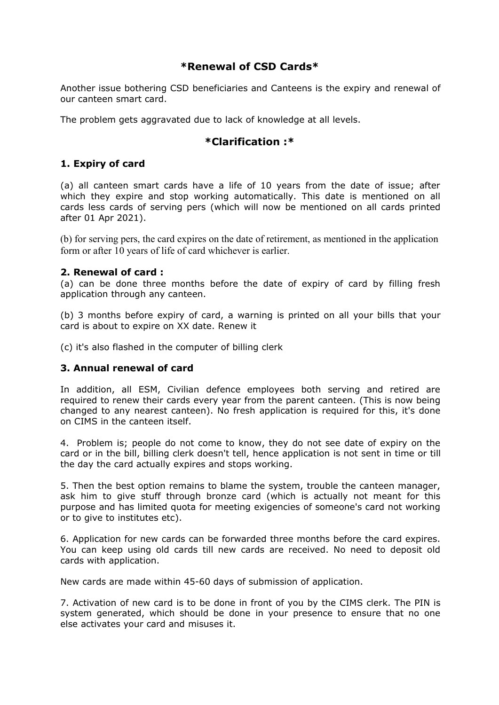# **\*Renewal of CSD Cards\***

Another issue bothering CSD beneficiaries and Canteens is the expiry and renewal of our canteen smart card.

The problem gets aggravated due to lack of knowledge at all levels.

## **\*Clarification :\***

### **1. Expiry of card**

(a) all canteen smart cards have a life of 10 years from the date of issue; after which they expire and stop working automatically. This date is mentioned on all cards less cards of serving pers (which will now be mentioned on all cards printed after 01 Apr 2021).

(b) for serving pers, the card expires on the date of retirement, as mentioned in the application form or after 10 years of life of card whichever is earlier.

#### **2. Renewal of card :**

(a) can be done three months before the date of expiry of card by filling fresh application through any canteen.

(b) 3 months before expiry of card, a warning is printed on all your bills that your card is about to expire on XX date. Renew it

(c) it's also flashed in the computer of billing clerk

#### **3. Annual renewal of card**

In addition, all ESM, Civilian defence employees both serving and retired are required to renew their cards every year from the parent canteen. (This is now being changed to any nearest canteen). No fresh application is required for this, it's done on CIMS in the canteen itself.

4. Problem is; people do not come to know, they do not see date of expiry on the card or in the bill, billing clerk doesn't tell, hence application is not sent in time or till the day the card actually expires and stops working.

5. Then the best option remains to blame the system, trouble the canteen manager, ask him to give stuff through bronze card (which is actually not meant for this purpose and has limited quota for meeting exigencies of someone's card not working or to give to institutes etc).

6. Application for new cards can be forwarded three months before the card expires. You can keep using old cards till new cards are received. No need to deposit old cards with application.

New cards are made within 45-60 days of submission of application.

7. Activation of new card is to be done in front of you by the CIMS clerk. The PIN is system generated, which should be done in your presence to ensure that no one else activates your card and misuses it.